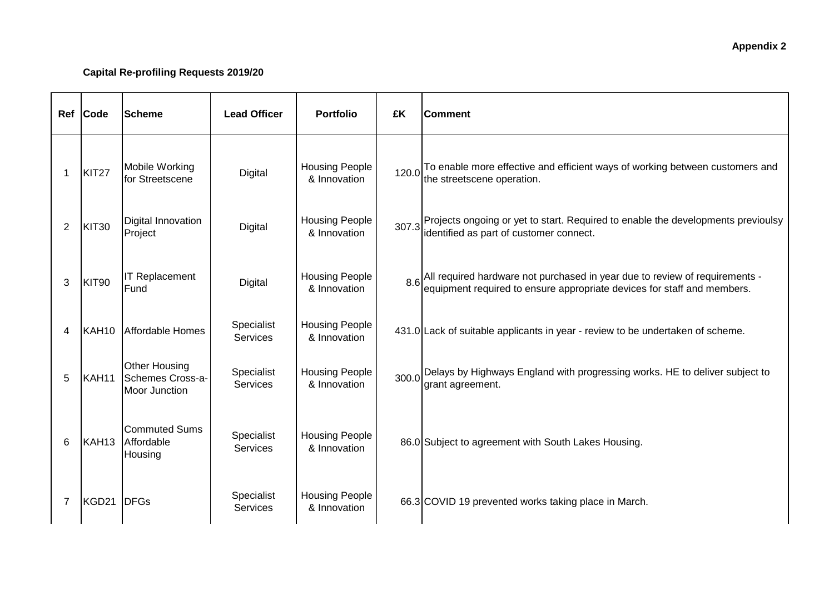| Ref            | Code              | <b>Scheme</b>                                                    | <b>Lead Officer</b>           | <b>Portfolio</b>                      | £K    | <b>Comment</b>                                                                                                                                         |
|----------------|-------------------|------------------------------------------------------------------|-------------------------------|---------------------------------------|-------|--------------------------------------------------------------------------------------------------------------------------------------------------------|
| 1              | KIT27             | Mobile Working<br>for Streetscene                                | Digital                       | <b>Housing People</b><br>& Innovation | 120.0 | To enable more effective and efficient ways of working between customers and<br>the streetscene operation.                                             |
| 2              | KIT30             | Digital Innovation<br>Project                                    | Digital                       | <b>Housing People</b><br>& Innovation | 307.3 | Projects ongoing or yet to start. Required to enable the developments previoulsy<br>identified as part of customer connect.                            |
| 3              | KIT90             | <b>IT Replacement</b><br>Fund                                    | <b>Digital</b>                | <b>Housing People</b><br>& Innovation | 8.6   | All required hardware not purchased in year due to review of requirements -<br>equipment required to ensure appropriate devices for staff and members. |
| 4              | KAH <sub>10</sub> | Affordable Homes                                                 | Specialist<br><b>Services</b> | <b>Housing People</b><br>& Innovation |       | 431.0 Lack of suitable applicants in year - review to be undertaken of scheme.                                                                         |
| 5              | KAH11             | <b>Other Housing</b><br>Schemes Cross-a-<br><b>Moor Junction</b> | Specialist<br><b>Services</b> | <b>Housing People</b><br>& Innovation |       | 300.0 Delays by Highways England with progressing works. HE to deliver subject to<br>grant agreement.                                                  |
| 6              | KAH <sub>13</sub> | <b>Commuted Sums</b><br>Affordable<br>Housing                    | Specialist<br><b>Services</b> | <b>Housing People</b><br>& Innovation |       | 86.0 Subject to agreement with South Lakes Housing.                                                                                                    |
| $\overline{7}$ | KGD21             | DFGs                                                             | Specialist<br><b>Services</b> | <b>Housing People</b><br>& Innovation |       | 66.3 COVID 19 prevented works taking place in March.                                                                                                   |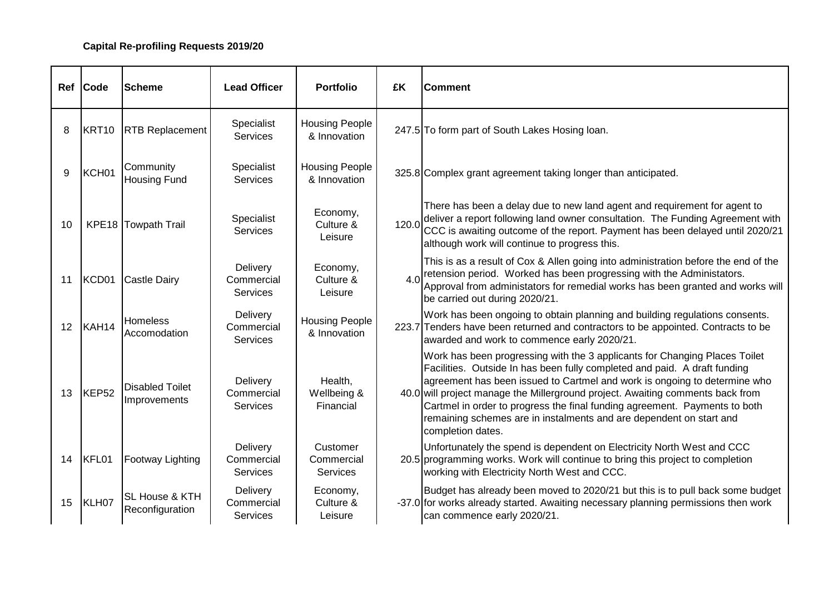|    | Ref Code          | <b>Scheme</b>                          | <b>Lead Officer</b>                       | <b>Portfolio</b>                      | £K    | <b>Comment</b>                                                                                                                                                                                                                                                                                                                                                                                                                                                                                   |
|----|-------------------|----------------------------------------|-------------------------------------------|---------------------------------------|-------|--------------------------------------------------------------------------------------------------------------------------------------------------------------------------------------------------------------------------------------------------------------------------------------------------------------------------------------------------------------------------------------------------------------------------------------------------------------------------------------------------|
| 8  | KRT <sub>10</sub> | <b>RTB Replacement</b>                 | Specialist<br><b>Services</b>             | <b>Housing People</b><br>& Innovation |       | 247.5 To form part of South Lakes Hosing Ioan.                                                                                                                                                                                                                                                                                                                                                                                                                                                   |
| 9  | KCH01             | Community<br><b>Housing Fund</b>       | Specialist<br><b>Services</b>             | <b>Housing People</b><br>& Innovation |       | 325.8 Complex grant agreement taking longer than anticipated.                                                                                                                                                                                                                                                                                                                                                                                                                                    |
| 10 |                   | KPE18 Towpath Trail                    | Specialist<br><b>Services</b>             | Economy,<br>Culture &<br>Leisure      | 120.0 | There has been a delay due to new land agent and requirement for agent to<br>deliver a report following land owner consultation. The Funding Agreement with<br>CCC is awaiting outcome of the report. Payment has been delayed until 2020/21<br>although work will continue to progress this.                                                                                                                                                                                                    |
| 11 | KCD01             | <b>Castle Dairy</b>                    | Delivery<br>Commercial<br><b>Services</b> | Economy,<br>Culture &<br>Leisure      | 4.0   | This is as a result of Cox & Allen going into administration before the end of the<br>retension period. Worked has been progressing with the Administators.<br>Approval from administators for remedial works has been granted and works will<br>be carried out during 2020/21.                                                                                                                                                                                                                  |
|    | 12 KAH14          | <b>Homeless</b><br>Accomodation        | Delivery<br>Commercial<br><b>Services</b> | <b>Housing People</b><br>& Innovation |       | Work has been ongoing to obtain planning and building regulations consents.<br>223.7 Tenders have been returned and contractors to be appointed. Contracts to be<br>awarded and work to commence early 2020/21.                                                                                                                                                                                                                                                                                  |
| 13 | KEP52             | <b>Disabled Toilet</b><br>Improvements | Delivery<br>Commercial<br><b>Services</b> | Health,<br>Wellbeing &<br>Financial   |       | Work has been progressing with the 3 applicants for Changing Places Toilet<br>Facilities. Outside In has been fully completed and paid. A draft funding<br>agreement has been issued to Cartmel and work is ongoing to determine who<br>40.0 will project manage the Millerground project. Awaiting comments back from<br>Cartmel in order to progress the final funding agreement. Payments to both<br>remaining schemes are in instalments and are dependent on start and<br>completion dates. |
|    | 14 KFL01          | <b>Footway Lighting</b>                | Delivery<br>Commercial<br><b>Services</b> | Customer<br>Commercial<br>Services    |       | Unfortunately the spend is dependent on Electricity North West and CCC<br>20.5 programming works. Work will continue to bring this project to completion<br>working with Electricity North West and CCC.                                                                                                                                                                                                                                                                                         |
| 15 | KLH07             | SL House & KTH<br>Reconfiguration      | Delivery<br>Commercial<br><b>Services</b> | Economy,<br>Culture &<br>Leisure      |       | Budget has already been moved to 2020/21 but this is to pull back some budget<br>-37.0 for works already started. Awaiting necessary planning permissions then work<br>can commence early 2020/21.                                                                                                                                                                                                                                                                                               |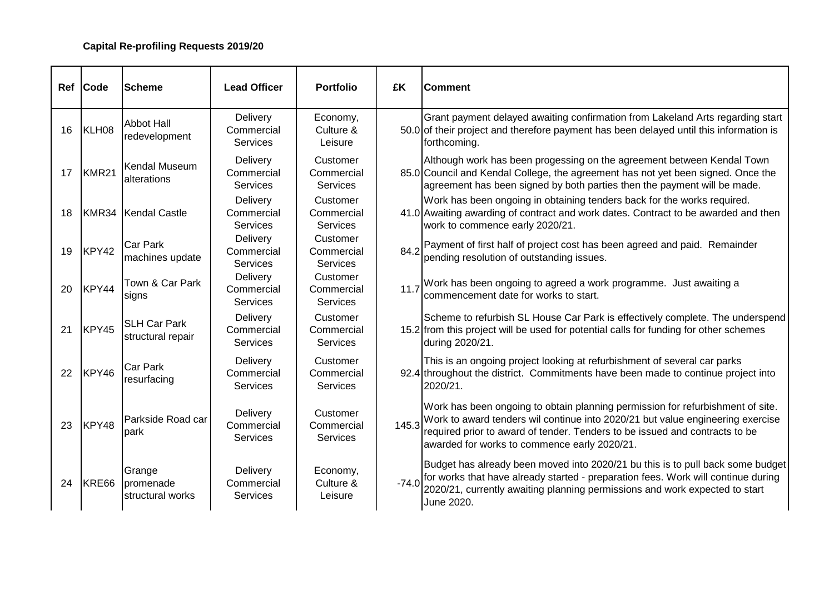|    | Ref Code | <b>Scheme</b>                            | <b>Lead Officer</b>                       | <b>Portfolio</b>                          | £K      | <b>Comment</b>                                                                                                                                                                                                                                                                                  |
|----|----------|------------------------------------------|-------------------------------------------|-------------------------------------------|---------|-------------------------------------------------------------------------------------------------------------------------------------------------------------------------------------------------------------------------------------------------------------------------------------------------|
|    | 16 KLH08 | <b>Abbot Hall</b><br>redevelopment       | Delivery<br>Commercial<br><b>Services</b> | Economy,<br>Culture &<br>Leisure          |         | Grant payment delayed awaiting confirmation from Lakeland Arts regarding start<br>50.0 of their project and therefore payment has been delayed until this information is<br>forthcoming.                                                                                                        |
| 17 | KMR21    | Kendal Museum<br>alterations             | Delivery<br>Commercial<br><b>Services</b> | Customer<br>Commercial<br><b>Services</b> |         | Although work has been progessing on the agreement between Kendal Town<br>85.0 Council and Kendal College, the agreement has not yet been signed. Once the<br>agreement has been signed by both parties then the payment will be made.                                                          |
| 18 |          | KMR34 Kendal Castle                      | Delivery<br>Commercial<br><b>Services</b> | Customer<br>Commercial<br><b>Services</b> |         | Work has been ongoing in obtaining tenders back for the works required.<br>41.0 Awaiting awarding of contract and work dates. Contract to be awarded and then<br>work to commence early 2020/21.                                                                                                |
| 19 | KPY42    | Car Park<br>machines update              | Delivery<br>Commercial<br><b>Services</b> | Customer<br>Commercial<br><b>Services</b> | 84.2    | Payment of first half of project cost has been agreed and paid. Remainder<br>pending resolution of outstanding issues.                                                                                                                                                                          |
| 20 | KPY44    | Town & Car Park<br>signs                 | Delivery<br>Commercial<br>Services        | Customer<br>Commercial<br><b>Services</b> |         | 11.7 Work has been ongoing to agreed a work programme. Just awaiting a<br>commencement date for works to start.                                                                                                                                                                                 |
| 21 | KPY45    | <b>SLH Car Park</b><br>structural repair | Delivery<br>Commercial<br><b>Services</b> | Customer<br>Commercial<br><b>Services</b> |         | Scheme to refurbish SL House Car Park is effectively complete. The underspend<br>15.2 from this project will be used for potential calls for funding for other schemes<br>during 2020/21.                                                                                                       |
|    | 22 KPY46 | <b>Car Park</b><br>resurfacing           | Delivery<br>Commercial<br><b>Services</b> | Customer<br>Commercial<br><b>Services</b> |         | This is an ongoing project looking at refurbishment of several car parks<br>92.4 throughout the district. Commitments have been made to continue project into<br>2020/21.                                                                                                                       |
| 23 | KPY48    | Parkside Road car<br>park                | Delivery<br>Commercial<br><b>Services</b> | Customer<br>Commercial<br>Services        | 145.3   | Work has been ongoing to obtain planning permission for refurbishment of site.<br>Work to award tenders wil continue into 2020/21 but value engineering exercise<br>required prior to award of tender. Tenders to be issued and contracts to be<br>awarded for works to commence early 2020/21. |
|    | 24 KRE66 | Grange<br>promenade<br>structural works  | Delivery<br>Commercial<br><b>Services</b> | Economy,<br>Culture &<br>Leisure          | $-74.0$ | Budget has already been moved into 2020/21 bu this is to pull back some budget<br>for works that have already started - preparation fees. Work will continue during<br>2020/21, currently awaiting planning permissions and work expected to start<br>June 2020.                                |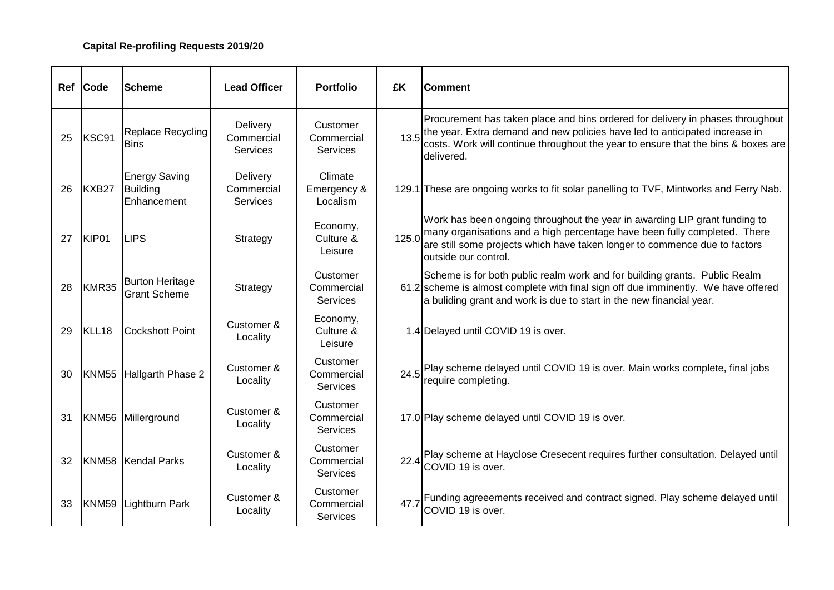| Ref | <b>Code</b> | <b>Scheme</b>                                          | <b>Lead Officer</b>                | <b>Portfolio</b>                          | £K    | <b>Comment</b>                                                                                                                                                                                                                                                   |
|-----|-------------|--------------------------------------------------------|------------------------------------|-------------------------------------------|-------|------------------------------------------------------------------------------------------------------------------------------------------------------------------------------------------------------------------------------------------------------------------|
| 25  | KSC91       | Replace Recycling<br><b>Bins</b>                       | Delivery<br>Commercial<br>Services | Customer<br>Commercial<br><b>Services</b> | 13.5  | Procurement has taken place and bins ordered for delivery in phases throughout<br>the year. Extra demand and new policies have led to anticipated increase in<br>costs. Work will continue throughout the year to ensure that the bins & boxes are<br>delivered. |
| 26  | KXB27       | <b>Energy Saving</b><br><b>Building</b><br>Enhancement | Delivery<br>Commercial<br>Services | Climate<br>Emergency &<br>Localism        |       | 129.1 These are ongoing works to fit solar panelling to TVF, Mintworks and Ferry Nab.                                                                                                                                                                            |
| 27  | KIP01       | <b>LIPS</b>                                            | Strategy                           | Economy,<br>Culture &<br>Leisure          | 125.0 | Work has been ongoing throughout the year in awarding LIP grant funding to<br>many organisations and a high percentage have been fully completed. There<br>are still some projects which have taken longer to commence due to factors<br>outside our control.    |
| 28  | KMR35       | <b>Burton Heritage</b><br><b>Grant Scheme</b>          | Strategy                           | Customer<br>Commercial<br><b>Services</b> |       | Scheme is for both public realm work and for building grants. Public Realm<br>61.2 scheme is almost complete with final sign off due imminently. We have offered<br>a buliding grant and work is due to start in the new financial year.                         |
| 29  | KLL18       | <b>Cockshott Point</b>                                 | Customer &<br>Locality             | Economy,<br>Culture &<br>Leisure          |       | 1.4 Delayed until COVID 19 is over.                                                                                                                                                                                                                              |
| 30  |             | KNM55 Hallgarth Phase 2                                | Customer &<br>Locality             | Customer<br>Commercial<br><b>Services</b> |       | 24.5 Play scheme delayed until COVID 19 is over. Main works complete, final jobs<br>require completing.                                                                                                                                                          |
| 31  |             | KNM56 Millerground                                     | Customer &<br>Locality             | Customer<br>Commercial<br>Services        |       | 17.0 Play scheme delayed until COVID 19 is over.                                                                                                                                                                                                                 |
| 32  |             | KNM58 Kendal Parks                                     | Customer &<br>Locality             | Customer<br>Commercial<br><b>Services</b> |       | 22.4 Play scheme at Hayclose Cresecent requires further consultation. Delayed until<br>COVID 19 is over.                                                                                                                                                         |
| 33  |             | KNM59 Lightburn Park                                   | Customer &<br>Locality             | Customer<br>Commercial<br><b>Services</b> | 47.7  | Funding agreeements received and contract signed. Play scheme delayed until<br>COVID 19 is over.                                                                                                                                                                 |